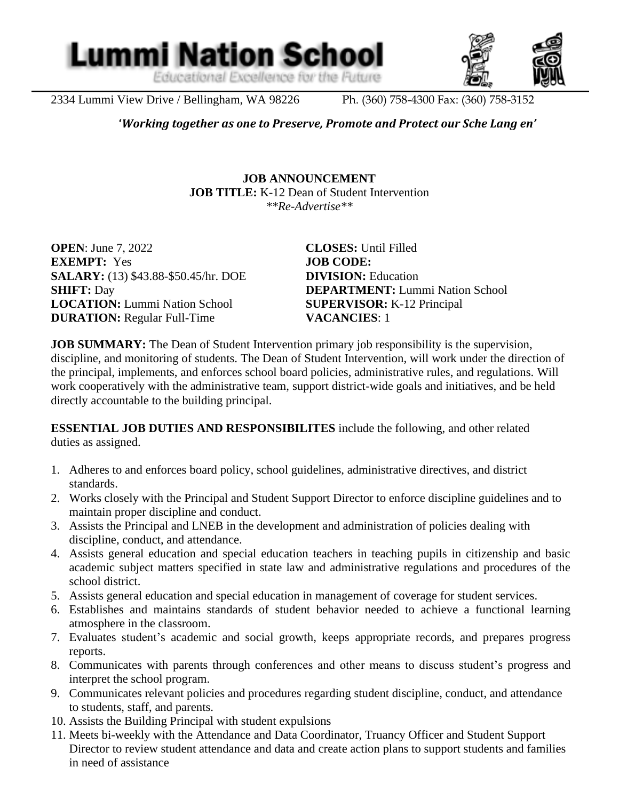Educational Excellence for the Future

**Lummi Nation School** 



2334 Lummi View Drive / Bellingham, WA 98226 Ph. (360) 758-4300 Fax: (360) 758-3152

l

**'***Working together as one to Preserve, Promote and Protect our Sche Lang en'*

**JOB ANNOUNCEMENT JOB TITLE:** K-12 Dean of Student Intervention *\*\*Re-Advertise\*\**

**OPEN**: June 7, 2022 **CLOSES:** Until Filled **EXEMPT:** Yes **JOB CODE: SALARY:** (13) \$43.88-\$50.45/hr. DOE **DIVISION:** Education **LOCATION:** Lummi Nation School **SUPERVISOR:** K-12 Principal **DURATION:** Regular Full-Time **VACANCIES**: 1

**SHIFT:** Day **DEPARTMENT:** Lummi Nation School

**JOB SUMMARY:** The Dean of Student Intervention primary job responsibility is the supervision, discipline, and monitoring of students. The Dean of Student Intervention, will work under the direction of the principal, implements, and enforces school board policies, administrative rules, and regulations. Will work cooperatively with the administrative team, support district-wide goals and initiatives, and be held directly accountable to the building principal.

**ESSENTIAL JOB DUTIES AND RESPONSIBILITES** include the following, and other related duties as assigned.

- 1. Adheres to and enforces board policy, school guidelines, administrative directives, and district standards.
- 2. Works closely with the Principal and Student Support Director to enforce discipline guidelines and to maintain proper discipline and conduct.
- 3. Assists the Principal and LNEB in the development and administration of policies dealing with discipline, conduct, and attendance.
- 4. Assists general education and special education teachers in teaching pupils in citizenship and basic academic subject matters specified in state law and administrative regulations and procedures of the school district.
- 5. Assists general education and special education in management of coverage for student services.
- 6. Establishes and maintains standards of student behavior needed to achieve a functional learning atmosphere in the classroom.
- 7. Evaluates student's academic and social growth, keeps appropriate records, and prepares progress reports.
- 8. Communicates with parents through conferences and other means to discuss student's progress and interpret the school program.
- 9. Communicates relevant policies and procedures regarding student discipline, conduct, and attendance to students, staff, and parents.
- 10. Assists the Building Principal with student expulsions
- 11. Meets bi-weekly with the Attendance and Data Coordinator, Truancy Officer and Student Support Director to review student attendance and data and create action plans to support students and families in need of assistance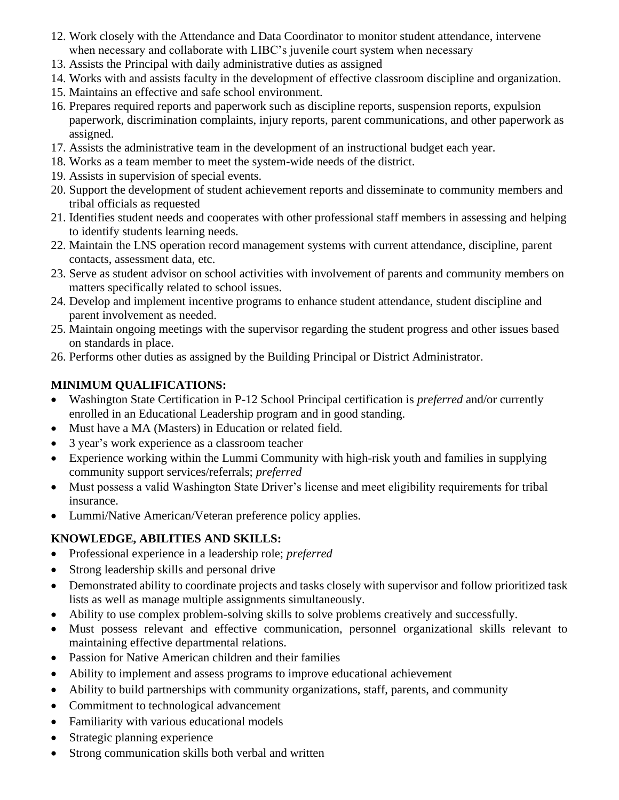- 12. Work closely with the Attendance and Data Coordinator to monitor student attendance, intervene when necessary and collaborate with LIBC's juvenile court system when necessary
- 13. Assists the Principal with daily administrative duties as assigned
- 14. Works with and assists faculty in the development of effective classroom discipline and organization.
- 15. Maintains an effective and safe school environment.
- 16. Prepares required reports and paperwork such as discipline reports, suspension reports, expulsion paperwork, discrimination complaints, injury reports, parent communications, and other paperwork as assigned.
- 17. Assists the administrative team in the development of an instructional budget each year.
- 18. Works as a team member to meet the system-wide needs of the district.
- 19. Assists in supervision of special events.
- 20. Support the development of student achievement reports and disseminate to community members and tribal officials as requested
- 21. Identifies student needs and cooperates with other professional staff members in assessing and helping to identify students learning needs.
- 22. Maintain the LNS operation record management systems with current attendance, discipline, parent contacts, assessment data, etc.
- 23. Serve as student advisor on school activities with involvement of parents and community members on matters specifically related to school issues.
- 24. Develop and implement incentive programs to enhance student attendance, student discipline and parent involvement as needed.
- 25. Maintain ongoing meetings with the supervisor regarding the student progress and other issues based on standards in place.
- 26. Performs other duties as assigned by the Building Principal or District Administrator.

# **MINIMUM QUALIFICATIONS:**

- Washington State Certification in P-12 School Principal certification is *preferred* and/or currently enrolled in an Educational Leadership program and in good standing.
- Must have a MA (Masters) in Education or related field.
- 3 year's work experience as a classroom teacher
- Experience working within the Lummi Community with high-risk youth and families in supplying community support services/referrals; *preferred*
- Must possess a valid Washington State Driver's license and meet eligibility requirements for tribal insurance.
- Lummi/Native American/Veteran preference policy applies.

# **KNOWLEDGE, ABILITIES AND SKILLS:**

- Professional experience in a leadership role; *preferred*
- Strong leadership skills and personal drive
- Demonstrated ability to coordinate projects and tasks closely with supervisor and follow prioritized task lists as well as manage multiple assignments simultaneously.
- Ability to use complex problem-solving skills to solve problems creatively and successfully.
- Must possess relevant and effective communication, personnel organizational skills relevant to maintaining effective departmental relations.
- Passion for Native American children and their families
- Ability to implement and assess programs to improve educational achievement
- Ability to build partnerships with community organizations, staff, parents, and community
- Commitment to technological advancement
- Familiarity with various educational models
- Strategic planning experience
- Strong communication skills both verbal and written